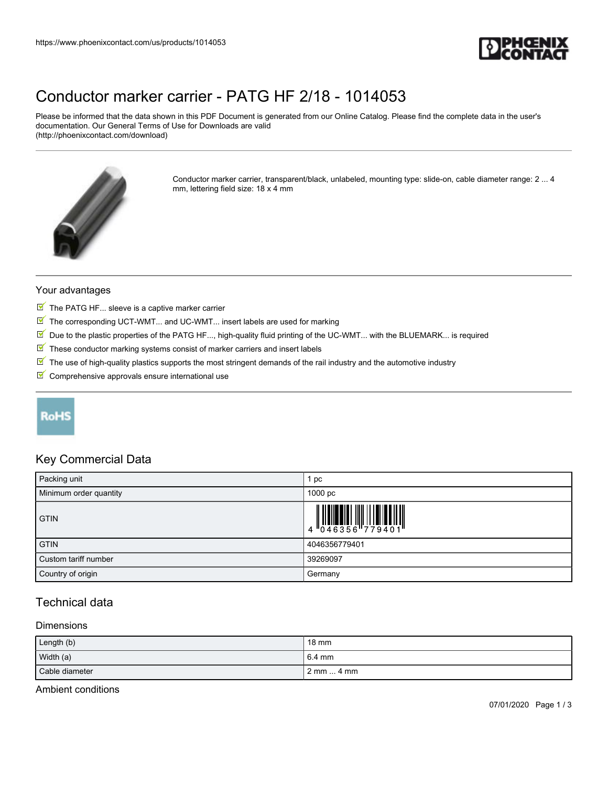

## [Conductor marker carrier - PATG HF 2/18 - 1014053](https://www.phoenixcontact.com/us/products/1014053)

Please be informed that the data shown in this PDF Document is generated from our Online Catalog. Please find the complete data in the user's documentation. Our General Terms of Use for Downloads are valid (http://phoenixcontact.com/download)



Conductor marker carrier, transparent/black, unlabeled, mounting type: slide-on, cable diameter range: 2 ... 4 mm, lettering field size: 18 x 4 mm

#### Your advantages

- $\blacksquare$  The PATG HF... sleeve is a captive marker carrier
- $\boxed{\mathbb{M}}$  The corresponding UCT-WMT... and UC-WMT... insert labels are used for marking
- $\blacksquare$  Due to the plastic properties of the PATG HF..., high-quality fluid printing of the UC-WMT... with the BLUEMARK... is required
- $\boxed{\blacksquare}$  These conductor marking systems consist of marker carriers and insert labels
- The use of high-quality plastics supports the most stringent demands of the rail industry and the automotive industry
- $\blacksquare$  Comprehensive approvals ensure international use

## RoHS

#### Key Commercial Data

| Packing unit           | 1 pc               |
|------------------------|--------------------|
| Minimum order quantity | 1000 <sub>pc</sub> |
| <b>GTIN</b>            |                    |
| <b>GTIN</b>            | 4046356779401      |
| Custom tariff number   | 39269097           |
| Country of origin      | Germany            |

### Technical data

#### Dimensions

| Length (b)     | $18 \text{ mm}$                   |
|----------------|-----------------------------------|
| Width (a)      | 6.4 mm                            |
| Cable diameter | $2 \text{ mm} \dots 4 \text{ mm}$ |

#### Ambient conditions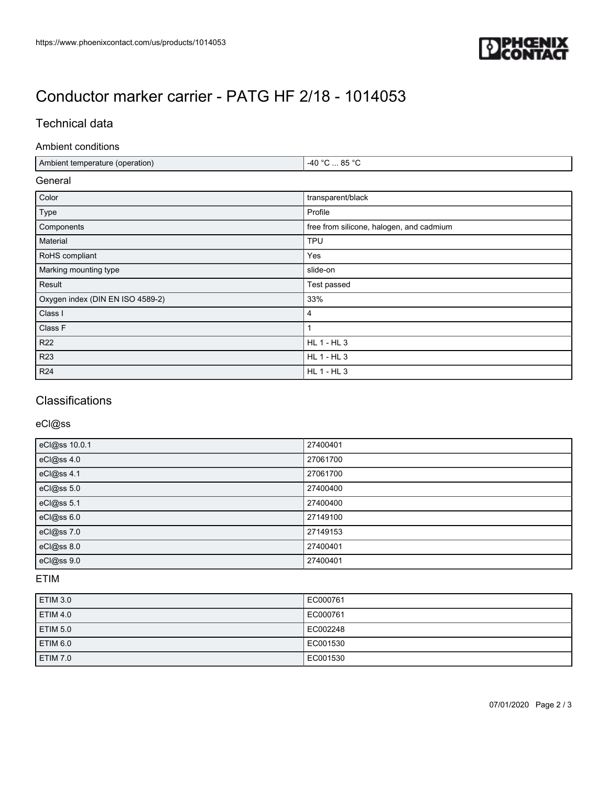

# [Conductor marker carrier - PATG HF 2/18 - 1014053](https://www.phoenixcontact.com/us/products/1014053)

### Technical data

#### Ambient conditions

| Ambient temperature (operation)  | $-40 °C  85 °C$                          |  |
|----------------------------------|------------------------------------------|--|
| General                          |                                          |  |
| Color                            | transparent/black                        |  |
| Type                             | Profile                                  |  |
| Components                       | free from silicone, halogen, and cadmium |  |
| Material                         | <b>TPU</b>                               |  |
| RoHS compliant                   | Yes                                      |  |
| Marking mounting type            | slide-on                                 |  |
| Result                           | Test passed                              |  |
| Oxygen index (DIN EN ISO 4589-2) | 33%                                      |  |
| Class I                          | 4                                        |  |
| Class F                          | 1                                        |  |
| R <sub>22</sub>                  | <b>HL 1 - HL 3</b>                       |  |
| <b>R23</b>                       | <b>HL 1 - HL 3</b>                       |  |
| R <sub>24</sub>                  | <b>HL 1 - HL 3</b>                       |  |

## **Classifications**

#### eCl@ss

| eCl@ss 10.0.1 | 27400401 |
|---------------|----------|
| eCl@ss 4.0    | 27061700 |
| eCl@ss 4.1    | 27061700 |
| eCl@ss 5.0    | 27400400 |
| eCl@ss 5.1    | 27400400 |
| eCl@ss 6.0    | 27149100 |
| eCl@ss 7.0    | 27149153 |
| eCl@ss 8.0    | 27400401 |
| eCl@ss 9.0    | 27400401 |

### ETIM

| <b>ETIM 3.0</b> | EC000761 |
|-----------------|----------|
| <b>ETIM 4.0</b> | EC000761 |
| <b>ETIM 5.0</b> | EC002248 |
| <b>ETIM 6.0</b> | EC001530 |
| <b>ETIM 7.0</b> | EC001530 |